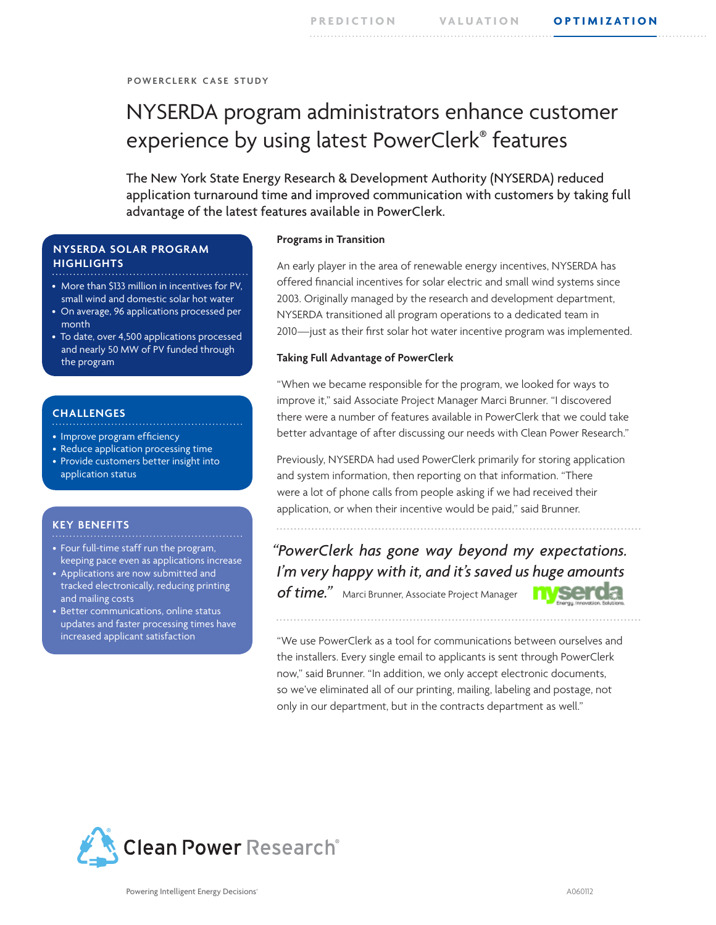**p o w e r c l e r k c a s e s t u dy**

# NYSERDA program administrators enhance customer experience by using latest PowerClerk® features

The New York State Energy Research & Development Authority (NYSERDA) reduced application turnaround time and improved communication with customers by taking full advantage of the latest features available in PowerClerk.

# **NYSERDA SOLAR PROGRAM HIGHLIGHTS**

- More than \$133 million in incentives for PV, small wind and domestic solar hot water
- On average, 96 applications processed per month
- To date, over 4,500 applications processed and nearly 50 MW of PV funded through the program

#### **CHALLENGES** . . . . . . . . . . . . . . . . .

- Improve program efficiency
- Reduce application processing time
- Provide customers better insight into application status

# **KEY BENEFITS**

- Four full-time staff run the program, keeping pace even as applications increase
- Applications are now submitted and tracked electronically, reducing printing and mailing costs
- Better communications, online status updates and faster processing times have increased applicant satisfaction

#### **Programs in Transition**

An early player in the area of renewable energy incentives, NYSERDA has offered financial incentives for solar electric and small wind systems since 2003. Originally managed by the research and development department, NYSERDA transitioned all program operations to a dedicated team in 2010—just as their first solar hot water incentive program was implemented.

### **Taking Full Advantage of PowerClerk**

"When we became responsible for the program, we looked for ways to improve it," said Associate Project Manager Marci Brunner. "I discovered there were a number of features available in PowerClerk that we could take better advantage of after discussing our needs with Clean Power Research."

Previously, NYSERDA had used PowerClerk primarily for storing application and system information, then reporting on that information. "There were a lot of phone calls from people asking if we had received their application, or when their incentive would be paid," said Brunner.

*"PowerClerk has gone way beyond my expectations. I'm very happy with it, and it's saved us huge amounts of time."* Marci Brunner, Associate Project Manager



"We use PowerClerk as a tool for communications between ourselves and the installers. Every single email to applicants is sent through PowerClerk now," said Brunner. "In addition, we only accept electronic documents, so we've eliminated all of our printing, mailing, labeling and postage, not only in our department, but in the contracts department as well."